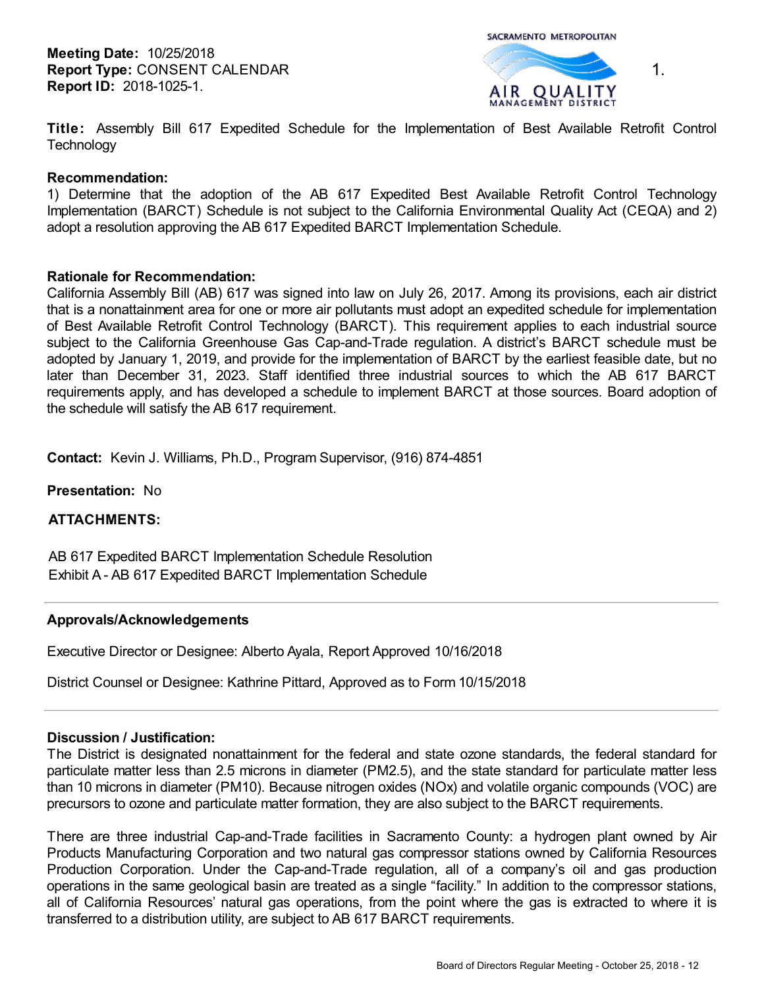SACRAMENTO METROPOLITAN



1.

**Title:** Assembly Bill 617 Expedited Schedule for the Implementation of Best Available Retrofit Control **Technology** 

## **Recommendation:**

1) Determine that the adoption of the AB 617 Expedited Best Available Retrofit Control Technology Implementation (BARCT) Schedule is not subject to the California Environmental Quality Act (CEQA) and 2) adopt a resolution approving the AB 617 Expedited BARCT Implementation Schedule.

## **Rationale for Recommendation:**

California Assembly Bill (AB) 617 was signed into law on July 26, 2017. Among its provisions, each air district that is a nonattainment area for one or more air pollutants must adopt an expedited schedule for implementation of Best Available Retrofit Control Technology (BARCT). This requirement applies to each industrial source subject to the California Greenhouse Gas Cap-and-Trade regulation. A district's BARCT schedule must be adopted by January 1, 2019, and provide for the implementation of BARCT by the earliest feasible date, but no later than December 31, 2023. Staff identified three industrial sources to which the AB 617 BARCT requirements apply, and has developed a schedule to implement BARCT at those sources. Board adoption of the schedule will satisfy the AB 617 requirement.

**Contact:** Kevin J. Williams, Ph.D., Program Supervisor, (916) 874-4851

**Presentation:** No

**ATTACHMENTS:**

AB 617 Expedited BARCT Implementation Schedule Resolution Exhibit A - AB 617 Expedited BARCT Implementation Schedule

#### **Approvals/Acknowledgements**

Executive Director or Designee: Alberto Ayala, Report Approved 10/16/2018

District Counsel or Designee: Kathrine Pittard, Approved as to Form 10/15/2018

#### **Discussion / Justification:**

The District is designated nonattainment for the federal and state ozone standards, the federal standard for particulate matter less than 2.5 microns in diameter (PM2.5), and the state standard for particulate matter less than 10 microns in diameter (PM10). Because nitrogen oxides (NOx) and volatile organic compounds (VOC) are precursors to ozone and particulate matter formation, they are also subject to the BARCT requirements.

There are three industrial Cap-and-Trade facilities in Sacramento County: a hydrogen plant owned by Air Products Manufacturing Corporation and two natural gas compressor stations owned by California Resources Production Corporation. Under the Cap-and-Trade regulation, all of a company's oil and gas production operations in the same geological basin are treated as a single "facility." In addition to the compressor stations, all of California Resources' natural gas operations, from the point where the gas is extracted to where it is transferred to a distribution utility, are subject to AB 617 BARCT requirements.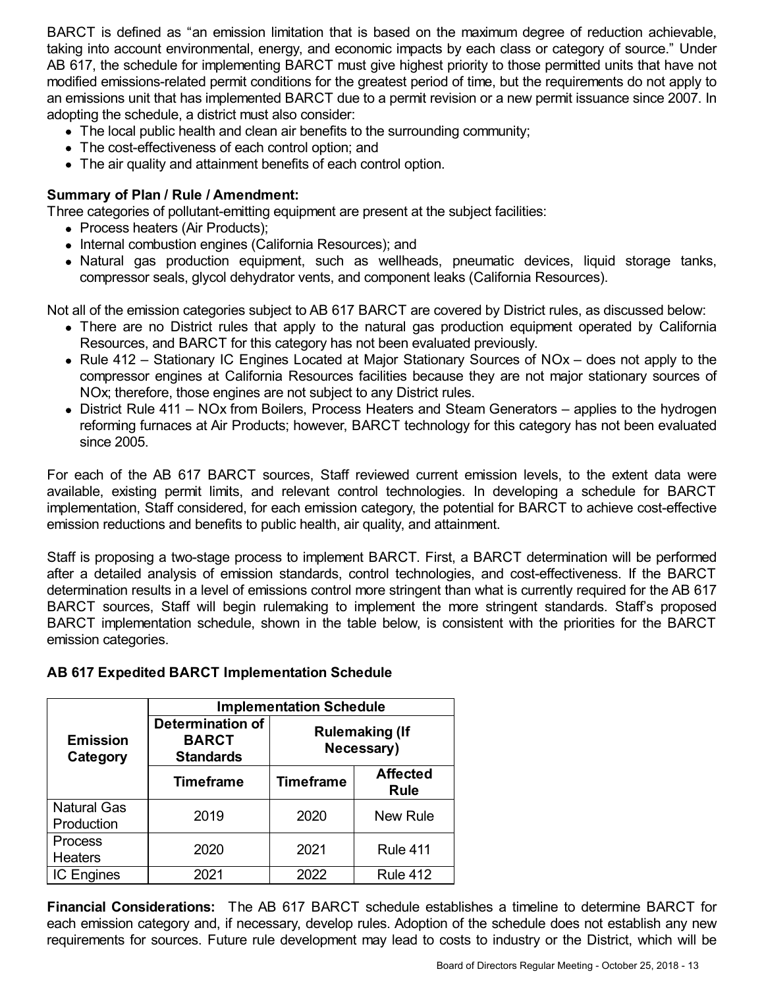BARCT is defined as "an emission limitation that is based on the maximum degree of reduction achievable, taking into account environmental, energy, and economic impacts by each class or category of source." Under AB 617, the schedule for implementing BARCT must give highest priority to those permitted units that have not modified emissions-related permit conditions for the greatest period of time, but the requirements do not apply to an emissions unit that has implemented BARCT due to a permit revision or a new permit issuance since 2007. In adopting the schedule, a district must also consider:

- The local public health and clean air benefits to the surrounding community;
- The cost-effectiveness of each control option; and
- The air quality and attainment benefits of each control option.

# **Summary of Plan / Rule / Amendment:**

Three categories of pollutant-emitting equipment are present at the subject facilities:

- Process heaters (Air Products);
- Internal combustion engines (California Resources); and
- Natural gas production equipment, such as wellheads, pneumatic devices, liquid storage tanks, compressor seals, glycol dehydrator vents, and component leaks (California Resources).

Not all of the emission categories subject to AB 617 BARCT are covered by District rules, as discussed below:

- There are no District rules that apply to the natural gas production equipment operated by California Resources, and BARCT for this category has not been evaluated previously.
- Rule 412 Stationary IC Engines Located at Major Stationary Sources of NOx does not apply to the compressor engines at California Resources facilities because they are not major stationary sources of NOx; therefore, those engines are not subject to any District rules.
- District Rule 411 NOx from Boilers, Process Heaters and Steam Generators applies to the hydrogen reforming furnaces at Air Products; however, BARCT technology for this category has not been evaluated since 2005.

For each of the AB 617 BARCT sources, Staff reviewed current emission levels, to the extent data were available, existing permit limits, and relevant control technologies. In developing a schedule for BARCT implementation, Staff considered, for each emission category, the potential for BARCT to achieve cost-effective emission reductions and benefits to public health, air quality, and attainment.

Staff is proposing a two-stage process to implement BARCT. First, a BARCT determination will be performed after a detailed analysis of emission standards, control technologies, and cost-effectiveness. If the BARCT determination results in a level of emissions control more stringent than what is currently required for the AB 617 BARCT sources, Staff will begin rulemaking to implement the more stringent standards. Staff's proposed BARCT implementation schedule, shown in the table below, is consistent with the priorities for the BARCT emission categories.

|                                  | <b>Implementation Schedule</b>                              |                                     |                                |
|----------------------------------|-------------------------------------------------------------|-------------------------------------|--------------------------------|
| <b>Emission</b><br>Category      | <b>Determination of</b><br><b>BARCT</b><br><b>Standards</b> | <b>Rulemaking (If</b><br>Necessary) |                                |
|                                  | <b>Timeframe</b>                                            | <b>Timeframe</b>                    | <b>Affected</b><br><b>Rule</b> |
| <b>Natural Gas</b><br>Production | 2019                                                        | 2020                                | <b>New Rule</b>                |
| Process<br><b>Heaters</b>        | 2020                                                        | 2021                                | <b>Rule 411</b>                |
| <b>IC Engines</b>                | 2021                                                        | 2022                                | <b>Rule 412</b>                |

# **AB 617 Expedited BARCT Implementation Schedule**

**Financial Considerations:** The AB 617 BARCT schedule establishes a timeline to determine BARCT for each emission category and, if necessary, develop rules. Adoption of the schedule does not establish any new requirements for sources. Future rule development may lead to costs to industry or the District, which will be